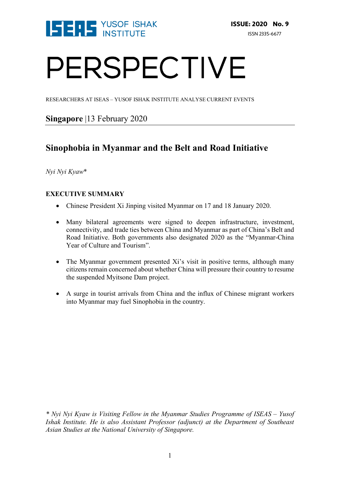

# PERSPECTIVE

RESEARCHERS AT ISEAS – YUSOF ISHAK INSTITUTE ANALYSE CURRENT EVENTS

## **Singapore** |13 February 2020

# **Sinophobia in Myanmar and the Belt and Road Initiative**

*Nyi Nyi Kyaw*\*

## **EXECUTIVE SUMMARY**

- Chinese President Xi Jinping visited Myanmar on 17 and 18 January 2020.
- Many bilateral agreements were signed to deepen infrastructure, investment, connectivity, and trade ties between China and Myanmar as part of China's Belt and Road Initiative. Both governments also designated 2020 as the "Myanmar-China Year of Culture and Tourism".
- The Myanmar government presented Xi's visit in positive terms, although many citizens remain concerned about whether China will pressure their country to resume the suspended Myitsone Dam project.
- A surge in tourist arrivals from China and the influx of Chinese migrant workers into Myanmar may fuel Sinophobia in the country.

*<sup>\*</sup> Nyi Nyi Kyaw is Visiting Fellow in the Myanmar Studies Programme of ISEAS – Yusof Ishak Institute. He is also Assistant Professor (adjunct) at the Department of Southeast Asian Studies at the National University of Singapore.*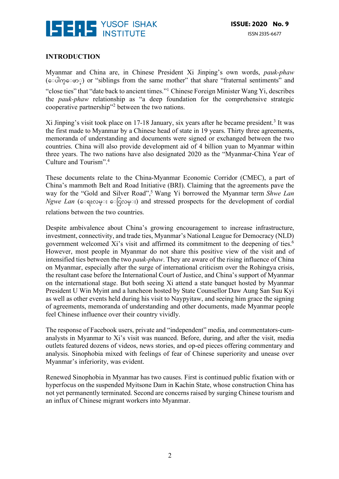

#### **INTRODUCTION**

Myanmar and China are, in Chinese President Xi Jinping's own words, *pauk-phaw*  (ေ◌ပါက္ေ◌ဖာ◌္) or "siblings from the same mother" that share "fraternal sentiments" and "close ties" that "date back to ancient times."1 Chinese Foreign Minister Wang Yi, describes the *pauk-phaw* relationship as "a deep foundation for the comprehensive strategic cooperative partnership"2 between the two nations.

Xi Jinping's visit took place on 17-18 January, six years after he became president.<sup>3</sup> It was the first made to Myanmar by a Chinese head of state in 19 years. Thirty three agreements, memoranda of understanding and documents were signed or exchanged between the two countries. China will also provide development aid of 4 billion yuan to Myanmar within three years. The two nations have also designated 2020 as the "Myanmar-China Year of Culture and Tourism".4

These documents relate to the China-Myanmar Economic Corridor (CMEC), a part of China's mammoth Belt and Road Initiative (BRI). Claiming that the agreements pave the way for the "Gold and Silver Road", <sup>5</sup> Wang Yi borrowed the Myanmar term *Shwe Lan Ngwe Lan* (ေ◌ရႊလမ္◌း ေ◌ြငလမ္◌း) and stressed prospects for the development of cordial relations between the two countries.

Despite ambivalence about China's growing encouragement to increase infrastructure, investment, connectivity, and trade ties, Myanmar's National League for Democracy (NLD) government welcomed Xi's visit and affirmed its commitment to the deepening of ties.<sup>6</sup> However, most people in Myanmar do not share this positive view of the visit and of intensified ties between the two *pauk-phaw*. They are aware of the rising influence of China on Myanmar, especially after the surge of international criticism over the Rohingya crisis, the resultant case before the International Court of Justice, and China's support of Myanmar on the international stage. But both seeing Xi attend a state banquet hosted by Myanmar President U Win Myint and a luncheon hosted by State Counsellor Daw Aung San Suu Kyi as well as other events held during his visit to Naypyitaw, and seeing him grace the signing of agreements, memoranda of understanding and other documents, made Myanmar people feel Chinese influence over their country vividly.

The response of Facebook users, private and "independent" media, and commentators-cumanalysts in Myanmar to Xi's visit was nuanced. Before, during, and after the visit, media outlets featured dozens of videos, news stories, and op-ed pieces offering commentary and analysis. Sinophobia mixed with feelings of fear of Chinese superiority and unease over Myanmar's inferiority, was evident.

Renewed Sinophobia in Myanmar has two causes. First is continued public fixation with or hyperfocus on the suspended Myitsone Dam in Kachin State, whose construction China has not yet permanently terminated. Second are concerns raised by surging Chinese tourism and an influx of Chinese migrant workers into Myanmar.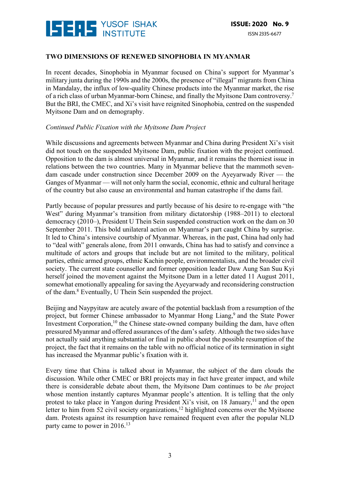

#### **TWO DIMENSIONS OF RENEWED SINOPHOBIA IN MYANMAR**

In recent decades, Sinophobia in Myanmar focused on China's support for Myanmar's military junta during the 1990s and the 2000s, the presence of "illegal" migrants from China in Mandalay, the influx of low-quality Chinese products into the Myanmar market, the rise of a rich class of urban Myanmar-born Chinese, and finally the Myitsone Dam controversy.7 But the BRI, the CMEC, and Xi's visit have reignited Sinophobia, centred on the suspended Myitsone Dam and on demography.

#### *Continued Public Fixation with the Myitsone Dam Project*

While discussions and agreements between Myanmar and China during President Xi's visit did not touch on the suspended Myitsone Dam, public fixation with the project continued. Opposition to the dam is almost universal in Myanmar, and it remains the thorniest issue in relations between the two countries. Many in Myanmar believe that the mammoth sevendam cascade under construction since December 2009 on the Ayeyarwady River — the Ganges of Myanmar — will not only harm the social, economic, ethnic and cultural heritage of the country but also cause an environmental and human catastrophe if the dams fail.

Partly because of popular pressures and partly because of his desire to re-engage with "the West" during Myanmar's transition from military dictatorship (1988–2011) to electoral democracy (2010–), President U Thein Sein suspended construction work on the dam on 30 September 2011. This bold unilateral action on Myanmar's part caught China by surprise. It led to China's intensive courtship of Myanmar. Whereas, in the past, China had only had to "deal with" generals alone, from 2011 onwards, China has had to satisfy and convince a multitude of actors and groups that include but are not limited to the military, political parties, ethnic armed groups, ethnic Kachin people, environmentalists, and the broader civil society. The current state counsellor and former opposition leader Daw Aung San Suu Kyi herself joined the movement against the Myitsone Dam in a letter dated 11 August 2011, somewhat emotionally appealing for saving the Ayeyarwady and reconsidering construction of the dam.8 Eventually, U Thein Sein suspended the project.

Beijing and Naypyitaw are acutely aware of the potential backlash from a resumption of the project, but former Chinese ambassador to Myanmar Hong Liang,<sup>9</sup> and the State Power Investment Corporation,<sup>10</sup> the Chinese state-owned company building the dam, have often pressured Myanmar and offered assurances of the dam's safety. Although the two sides have not actually said anything substantial or final in public about the possible resumption of the project, the fact that it remains on the table with no official notice of its termination in sight has increased the Myanmar public's fixation with it.

Every time that China is talked about in Myanmar, the subject of the dam clouds the discussion. While other CMEC or BRI projects may in fact have greater impact, and while there is considerable debate about them, the Myitsone Dam continues to be *the* project whose mention instantly captures Myanmar people's attention. It is telling that the only protest to take place in Yangon during President Xi's visit, on 18 January,<sup>11</sup> and the open letter to him from 52 civil society organizations,<sup>12</sup> highlighted concerns over the Myitsone dam. Protests against its resumption have remained frequent even after the popular NLD party came to power in 2016.<sup>13</sup>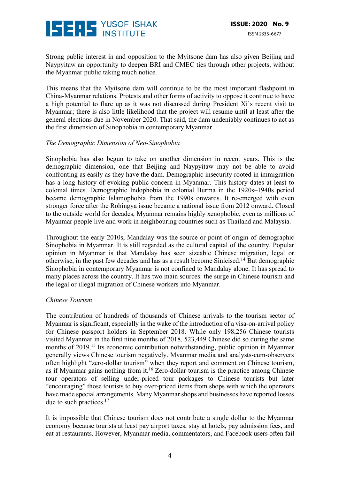

Strong public interest in and opposition to the Myitsone dam has also given Beijing and Naypyitaw an opportunity to deepen BRI and CMEC ties through other projects, without the Myanmar public taking much notice.

This means that the Myitsone dam will continue to be the most important flashpoint in China-Myanmar relations. Protests and other forms of activity to oppose it continue to have a high potential to flare up as it was not discussed during President Xi's recent visit to Myanmar; there is also little likelihood that the project will resume until at least after the general elections due in November 2020. That said, the dam undeniably continues to act as the first dimension of Sinophobia in contemporary Myanmar.

#### *The Demographic Dimension of Neo-Sinophobia*

Sinophobia has also begun to take on another dimension in recent years. This is the demographic dimension, one that Beijing and Naypyitaw may not be able to avoid confronting as easily as they have the dam. Demographic insecurity rooted in immigration has a long history of evoking public concern in Myanmar. This history dates at least to colonial times. Demographic Indophobia in colonial Burma in the 1920s–1940s period became demographic Islamophobia from the 1990s onwards. It re-emerged with even stronger force after the Rohingya issue became a national issue from 2012 onward. Closed to the outside world for decades, Myanmar remains highly xenophobic, even as millions of Myanmar people live and work in neighbouring countries such as Thailand and Malaysia.

Throughout the early 2010s, Mandalay was the source or point of origin of demographic Sinophobia in Myanmar. It is still regarded as the cultural capital of the country. Popular opinion in Myanmar is that Mandalay has seen sizeable Chinese migration, legal or otherwise, in the past few decades and has as a result become Sinicised.14 But demographic Sinophobia in contemporary Myanmar is not confined to Mandalay alone. It has spread to many places across the country. It has two main sources: the surge in Chinese tourism and the legal or illegal migration of Chinese workers into Myanmar.

#### *Chinese Tourism*

The contribution of hundreds of thousands of Chinese arrivals to the tourism sector of Myanmar is significant, especially in the wake of the introduction of a visa-on-arrival policy for Chinese passport holders in September 2018. While only 198,256 Chinese tourists visited Myanmar in the first nine months of 2018, 523,449 Chinese did so during the same months of 2019.15 Its economic contribution notwithstanding, public opinion in Myanmar generally views Chinese tourism negatively. Myanmar media and analysts-cum-observers often highlight "zero-dollar tourism" when they report and comment on Chinese tourism, as if Myanmar gains nothing from it.<sup>16</sup> Zero-dollar tourism is the practice among Chinese tour operators of selling under-priced tour packages to Chinese tourists but later "encouraging" those tourists to buy over-priced items from shops with which the operators have made special arrangements. Many Myanmar shops and businesses have reported losses due to such practices.<sup>17</sup>

It is impossible that Chinese tourism does not contribute a single dollar to the Myanmar economy because tourists at least pay airport taxes, stay at hotels, pay admission fees, and eat at restaurants. However, Myanmar media, commentators, and Facebook users often fail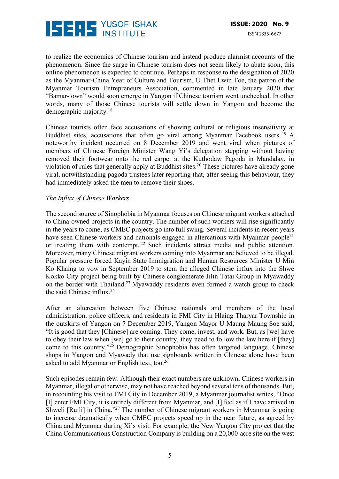

to realize the economics of Chinese tourism and instead produce alarmist accounts of the phenomenon. Since the surge in Chinese tourism does not seem likely to abate soon, this online phenomenon is expected to continue. Perhaps in response to the designation of 2020 as the Myanmar-China Year of Culture and Tourism, U Thet Lwin Toe, the patron of the Myanmar Tourism Entrepreneurs Association, commented in late January 2020 that "Bamar-town" would soon emerge in Yangon if Chinese tourism went unchecked. In other words, many of those Chinese tourists will settle down in Yangon and become the demographic majority.18

Chinese tourists often face accusations of showing cultural or religious insensitivity at Buddhist sites, accusations that often go viral among Myanmar Facebook users.<sup>19</sup> A noteworthy incident occurred on 8 December 2019 and went viral when pictures of members of Chinese Foreign Minister Wang Yi's delegation stepping without having removed their footwear onto the red carpet at the Kuthodaw Pagoda in Mandalay, in violation of rules that generally apply at Buddhist sites.20 These pictures have already gone viral, notwithstanding pagoda trustees later reporting that, after seeing this behaviour, they had immediately asked the men to remove their shoes.

#### *The Influx of Chinese Workers*

The second source of Sinophobia in Myanmar focuses on Chinese migrant workers attached to China-owned projects in the country. The number of such workers will rise significantly in the years to come, as CMEC projects go into full swing. Several incidents in recent years have seen Chinese workers and nationals engaged in altercations with Myanmar people<sup>21</sup> or treating them with contempt. <sup>22</sup> Such incidents attract media and public attention. Moreover, many Chinese migrant workers coming into Myanmar are believed to be illegal. Popular pressure forced Kayin State Immigration and Human Resources Minister U Min Ko Khaing to vow in September 2019 to stem the alleged Chinese influx into the Shwe Kokko City project being built by Chinese conglomerate Jilin Tatai Group in Myawaddy on the border with Thailand.23 Myawaddy residents even formed a watch group to check the said Chinese influx.24

After an altercation between five Chinese nationals and members of the local administration, police officers, and residents in FMI City in Hlaing Tharyar Township in the outskirts of Yangon on 7 December 2019, Yangon Mayor U Maung Maung Soe said, "It is good that they [Chinese] are coming. They come, invest, and work. But, as [we] have to obey their law when [we] go to their country, they need to follow the law here if [they] come to this country."25 Demographic Sinophobia has often targeted language. Chinese shops in Yangon and Myawady that use signboards written in Chinese alone have been asked to add Myanmar or English text, too.26

Such episodes remain few. Although their exact numbers are unknown, Chinese workers in Myanmar, illegal or otherwise, may not have reached beyond several tens of thousands. But, in recounting his visit to FMI City in December 2019, a Myanmar journalist writes, "Once [I] enter FMI City, it is entirely different from Myanmar, and [I] feel as if I have arrived in Shweli [Ruili] in China."27 The number of Chinese migrant workers in Myanmar is going to increase dramatically when CMEC projects speed up in the near future, as agreed by China and Myanmar during Xi's visit. For example, the New Yangon City project that the China Communications Construction Company is building on a 20,000-acre site on the west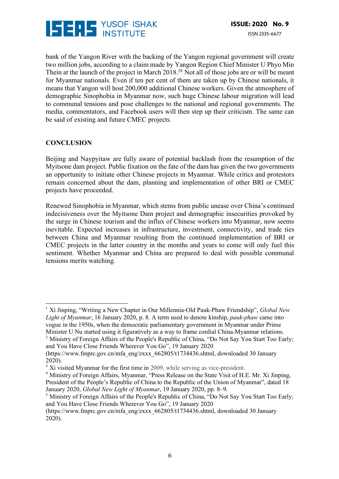

bank of the Yangon River with the backing of the Yangon regional government will create two million jobs, according to a claim made by Yangon Region Chief Minister U Phyo Min Thein at the launch of the project in March 2018<sup>28</sup> Not all of those jobs are or will be meant for Myanmar nationals. Even if ten per cent of them are taken up by Chinese nationals, it means that Yangon will host 200,000 additional Chinese workers. Given the atmosphere of demographic Sinophobia in Myanmar now, such huge Chinese labour migration will lead to communal tensions and pose challenges to the national and regional governments. The media, commentators, and Facebook users will then step up their criticism. The same can be said of existing and future CMEC projects.

### **CONCLUSION**

 

Beijing and Naypyitaw are fully aware of potential backlash from the resumption of the Myitsone dam project. Public fixation on the fate of the dam has given the two governments an opportunity to initiate other Chinese projects in Myanmar. While critics and protestors remain concerned about the dam, planning and implementation of other BRI or CMEC projects have proceeded.

Renewed Sinophobia in Myanmar, which stems from public unease over China's continued indecisiveness over the Myitsone Dam project and demographic insecurities provoked by the surge in Chinese tourism and the influx of Chinese workers into Myanmar, now seems inevitable. Expected increases in infrastructure, investment, connectivity, and trade ties between China and Myanmar resulting from the continued implementation of BRI or CMEC projects in the latter country in the months and years to come will only fuel this sentiment. Whether Myanmar and China are prepared to deal with possible communal tensions merits watching.

<sup>1</sup> Xi Jinping, "Writing a New Chapter in Our Millennia-Old Pauk-Phaw Friendship", *Global New Light of Myanmar*, 16 January 2020, p. 8. A term used to denote kinship, *pauk-phaw* came into vogue in the 1950s, when the democratic parliamentary government in Myanmar under Prime Minister U Nu started using it figuratively as a way to frame cordial China-Myanmar relations.

<sup>&</sup>lt;sup>2</sup> Ministry of Foreign Affairs of the People's Republic of China, "Do Not Say You Start Too Early; and You Have Close Friends Wherever You Go", 19 January 2020

<sup>(</sup>https://www.fmprc.gov.cn/mfa\_eng/zxxx\_662805/t1734436.shtml, downloaded 30 January 2020).

<sup>&</sup>lt;sup>3</sup> Xi visited Myanmar for the first time in 2009, while serving as vice-president.

<sup>4</sup> Ministry of Foreign Affairs, Myanmar, "Press Release on the State Visit of H.E. Mr. Xi Jinping, President of the People's Republic of China to the Republic of the Union of Myanmar", dated 18 January 2020, *Global New Light of Myanmar*, 19 January 2020, pp. 8–9.

<sup>&</sup>lt;sup>5</sup> Ministry of Foreign Affairs of the People's Republic of China, "Do Not Say You Start Too Early; and You Have Close Friends Wherever You Go", 19 January 2020

<sup>(</sup>https://www.fmprc.gov.cn/mfa\_eng/zxxx\_662805/t1734436.shtml, downloaded 30 January 2020).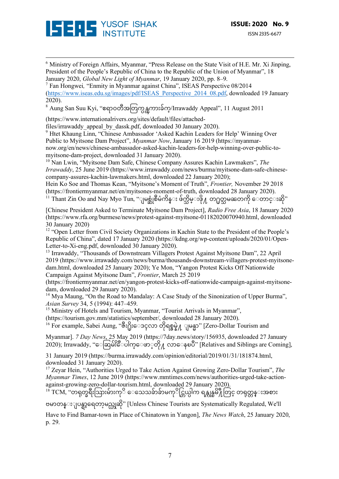

<sup>6</sup> Ministry of Foreign Affairs, Myanmar, "Press Release on the State Visit of H.E. Mr. Xi Jinping, President of the People's Republic of China to the Republic of the Union of Myanmar", 18 January 2020, *Global New Light of Myanmar*, 19 January 2020, pp. 8–9.

<u> 1989 - Andrea San Andrew Maria (h. 1989).</u><br>1900 - Andrew Maria (h. 1980).

<sup>7</sup> Fan Hongwei*,* "Enmity in Myanmar against China", ISEAS Perspective 08/2014 (https://www.iseas.edu.sg/images/pdf/ISEAS\_Perspective\_2014\_08.pdf, downloaded 19 January 2020).

 $8$  Aung San Suu Kyi, "ဧရာဝတီအတြက္ပန္ၾကားခ်က္/Irrawaddy Appeal", 11 August 2011

(https://www.internationalrivers.org/sites/default/files/attached-

files/irrawaddy\_appeal\_by\_dassk.pdf, downloaded 30 January 2020).

<sup>9</sup> Htet Khaung Linn, "Chinese Ambassador 'Asked Kachin Leaders for Help' Winning Over Public to Myitsone Dam Project", *Myanmar Now*, January 16 2019 (https://myanmarnow.org/en/news/chinese-ambassador-asked-kachin-leaders-for-help-winning-over-public-tomyitsone-dam-project, downloaded 31 January 2020).

<sup>10</sup> Nan Lwin, "Myitsone Dam Safe, Chinese Company Assures Kachin Lawmakers", *The Irrawaddy*, 25 June 2019 (https://www.irrawaddy.com/news/burma/myitsone-dam-safe-chinesecompany-assures-kachin-lawmakers.html, downloaded 22 January 2020);

Hein Ko Soe and Thomas Kean, "Myitsone's Moment of Truth", *Frontier,* November 29 2018 (https://frontiermyanmar.net/en/myitsones-moment-of-truth, downloaded 28 January 2020).

 $^{11}$  Thant Zin Oo and Nay Myo Tun, ''ျမစ္ဆုံစီမံကိန္း ဖ်က္သိမ္းဖို႔ တ႐ုတ္သမၼတကို ေတာင္းဆို"

[Chinese President Asked to Terminate Myitsone Dam Project], *Radio Free Asia*, 18 January 2020 (https://www.rfa.org/burmese/news/protest-against-myitsone-01182020070940.html, downloaded 30 January 2020)

<sup>12</sup> "Open Letter from Civil Society Organizations in Kachin State to the President of the People's Republic of China", dated 17 January 2020 (https://kdng.org/wp-content/uploads/2020/01/Open-Letter-to-Xi-eng.pdf, downloaded 30 January 2020).

<sup>13</sup> Irrawaddy, "Thousands of Downstream Villagers Protest Against Myitsone Dam", 22 April 2019 (https://www.irrawaddy.com/news/burma/thousands-downstream-villagers-protest-myitsonedam.html, downloaded 25 January 2020); Ye Mon, "Yangon Protest Kicks Off Nationwide Campaign Against Myitsone Dam", *Frontier*, March 25 2019

(https://frontiermyanmar.net/en/yangon-protest-kicks-off-nationwide-campaign-against-myitsonedam, downloaded 29 January 2020).

<sup>14</sup> Mya Maung, "On the Road to Mandalay: A Case Study of the Sinonization of Upper Burma", *Asian Survey* 34, 5 (1994): 447–459.

<sup>15</sup> Ministry of Hotels and Tourism, Myanmar, "Tourist Arrivals in Myanmar",

(https://tourism.gov.mm/statistics/september/, downloaded 28 January 2020).

<sup>16</sup> For example, Sabei Aung, "ဇီး႐ိုးေဒၚလာ တိုရစ္နွမ္နဲ႔ ျမန္မာ" [Zero-Dollar Tourism and

Myanmar]. *7 Day News*, 25 May 2019 (https://7day.news/story/156935, downloaded 27 January 2020); Irrawaddy, ''ေဆြမ်းိေပါက္ေဖာ္တို႔ လာေနၿပီ'' [Relatives and Siblings are Coming],

31 January 2019 (https://burma.irrawaddy.com/opinion/editorial/2019/01/31/181874.html, downloaded 31 January 2020).

<sup>17</sup> Zeyar Hein, "Authorities Urged to Take Action Against Growing Zero-Dollar Tourism", *The Myanmar Times*, 12 June 2019 (https://www.mmtimes.com/news/authorities-urged-take-actionagainst-growing-zero-dollar-tourism.html, downloaded 29 January 2020).

 $^{18}$  TCM, ''တရုတ္ခရီးသြားမ်ားကုိ ေသေသခ်ာခ်ာမကုိင္တြယ္ပါက ရန္ကုန္ၿမိ႔ဳတြင္ တရုတ္တန္းအစား ဗမာတန္းျပန္ရာ့ရေတာ့မည္ဟုဆို'' [Unless Chinese Tourists are Systematically Regulated, We'll

Have to Find Bamar-town in Place of Chinatown in Yangon], *The News Watch*, 25 January 2020, p. 29.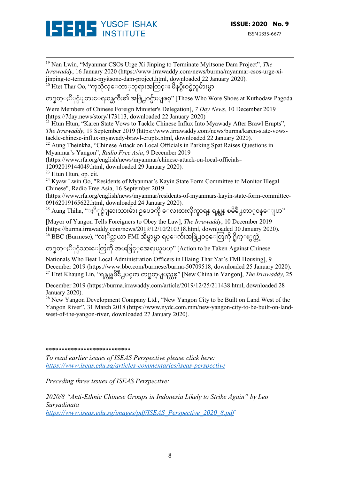

<u> 1989 - Andrea San Andrew Maria (h. 1989).</u><br>1900 - Andrew Maria (h. 1980). <sup>19</sup> Nan Lwin, "Myanmar CSOs Urge Xi Jinping to Terminate Myitsone Dam Project", *The Irrawaddy*, 16 January 2020 (https://www.irrawaddy.com/news/burma/myanmar-csos-urge-xijinping-to-terminate-myitsone-dam-project.html, downloaded 22 January 2020).  $\sim^2$ <sup>20</sup> Htet Thar Oo, ''ကုသိုလ္ေတာ္ဘာရားအတြင္း ဖိနပ္စီးဝင္ခဲ့သူမ်ားမွာ တ႐ုတ္ႏို္င္ငံျခားေရးဝန္ႀကီး၏ အဖြဲ႕ဝင္မ်ားျဖစ္" [Those Who Wore Shoes at Kuthodaw Pagoda Were Members of Chinese Foreign Minister's Delegation], *7 Day News*, 10 December 2019 (https://7day.news/story/173113, downloaded 22 January 2020)  $21$  Htun Htun, "Karen State Vows to Tackle Chinese Influx Into Myawady After Brawl Erupts", *The Irrawaddy*, 19 September 2019 (https://www.irrawaddy.com/news/burma/karen-state-vowstackle-chinese-influx-myawady-brawl-erupts.html, downloaded 22 January 2020).  $22$  Aung Theinkha, "Chinese Attack on Local Officials in Parking Spat Raises Questions in Myanmar's Yangon", *Radio Free Asia*, 9 December 2019 (https://www.rfa.org/english/news/myanmar/chinese-attack-on-local-officials-12092019144049.html, downloaded 29 January 2020). <sup>23</sup> Htun Htun, op. cit.  $24$  Kyaw Lwin Oo, "Residents of Myanmar's Kayin State Form Committee to Monitor Illegal Chinese", Radio Free Asia, 16 September 2019 (https://www.rfa.org/english/news/myanmar/residents-of-myanmars-kayin-state-form-committee-09162019165622.html, downloaded 24 January 2020). ိ်ာ လိုက္ေပး လိုင္ေတာ္တားေလးမ်ား ေလးစားလိုက္တာ အန္တုန္ စမိတို႔တာ္ဝန္ေျပာ"<br><sup>25</sup> Aung Thiha, "ႏို္င္ငံျခားသားမ်ား ဥပေဒကို ေလးစားလိုက္နာရန္ ရန္ကုန္ ၿမိဳ႕ေတာ္ဝန္ေျပာ" [Mayor of Yangon Tells Foreigners to Obey the Law], *The Irrawaddy*, 10 December 2019 (https://burma.irrawaddy.com/news/2019/12/10/210318.html, downloaded 30 January 2020).  $^{26}$  BBC (Burmese), ''လႈိင္သာယာ FMI အိမ္ရာမွာ ရပ္ေက်းအဖြဲ႕ဝင္ေတြကို ႐ိုက္ႏွက္တဲ့ တ႐ုတ္ႏို္င္ငံသားေတြကို အမႈဖြင့္အေရးယူမယ္" [Action to be Taken Against Chinese Nationals Who Beat Local Administration Officers in Hlaing Thar Yar's FMI Housing], 9 December 2019 (https://www.bbc.com/burmese/burma-50709518, downloaded 25 January 2020). <sup>27</sup> Htet Khaung Lin, "ရန္ကုန္ၿမိဳ႕ေပၚက တ႐ုတ္ျပည္သစ္" [New China in Yangon], *The Irrawaddy*, 25 December 2019 (https://burma.irrawaddy.com/article/2019/12/25/211438.html, downloaded 28 January 2020). <sup>28</sup> New Yangon Development Company Ltd., "New Yangon City to be Built on Land West of the Yangon River", 31 March 2018 (https://www.nydc.com.mm/new-yangon-city-to-be-built-on-land-

\*\*\*\*\*\*\*\*\*\*\*\*\*\*\*\*\*\*\*\*\*\*\*\*\*\*\*

*To read earlier issues of ISEAS Perspective please click here: https://www.iseas.edu.sg/articles-commentaries/iseas-perspective*

*Preceding three issues of ISEAS Perspective:*

west-of-the-yangon-river, downloaded 27 January 2020).

*2020/8 "Anti-Ethnic Chinese Groups in Indonesia Likely to Strike Again" by Leo Suryadinata*

*https://www.iseas.edu.sg/images/pdf/ISEAS\_Perspective\_2020\_8.pdf*